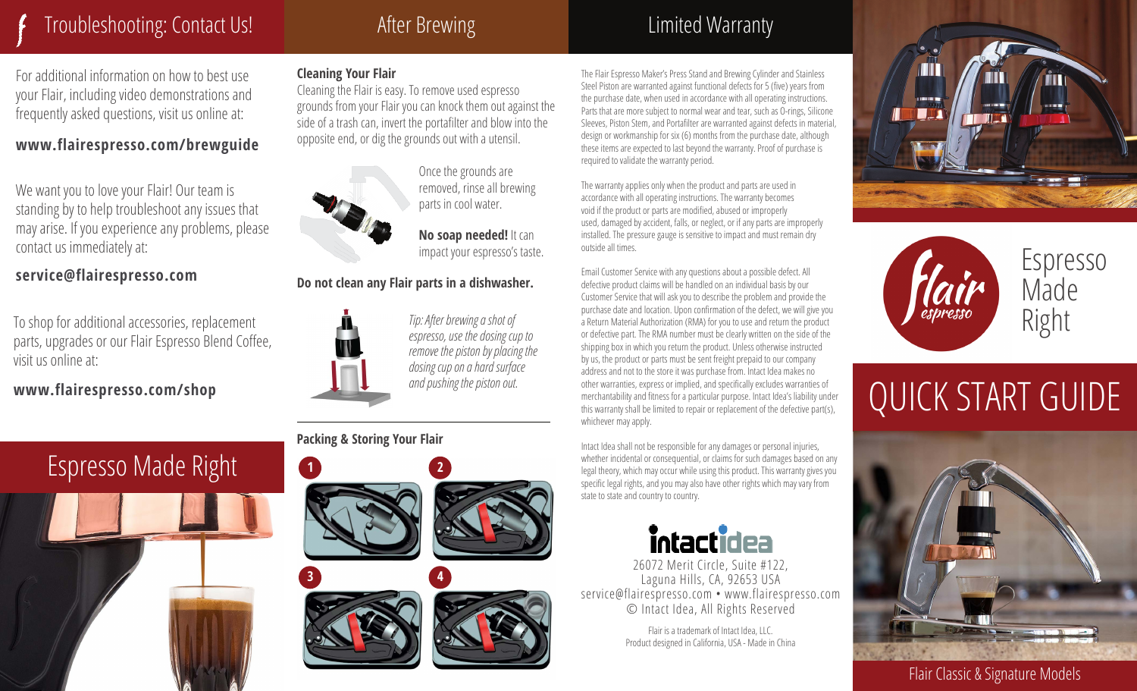## Troubleshooting: Contact Us!

## After Brewing

grounds from your Flair you can knock them out against the side of a trash can, invert the portafilter and blow into the opposite end, or dig the grounds out with a utensil.

Cleaning the Flair is easy. To remove used espresso

## Limited Warranty

For additional information on how to best use your Flair, including video demonstrations and frequently asked questions, visit us online at:

## **www.flairespresso.com/brewguide**

We want you to love your Flair! Our team is standing by to help troubleshoot any issues that may arise. If you experience any problems, please contact us immediately at:

### **service@flairespresso.com**

To shop for additional accessories, replacement parts, upgrades or our Flair Espresso Blend Coffee, visit us online at:

**www.flairespresso.com/shop**



**Cleaning Your Flair**

Once the grounds are removed, rinse all brewing parts in cool water.

**No soap needed!** It can impact your espresso's taste.

#### **Do not clean any Flair parts in a dishwasher.**



*Tip: After brewing a shot of espresso, use the dosing cup to remove the piston by placing the dosing cup on a hard surface and pushing the piston out.*

#### **Packing & Storing Your Flair**





The Flair Espresso Maker's Press Stand and Brewing Cylinder and Stainless Steel Piston are warranted against functional defects for 5 (five) years from the purchase date, when used in accordance with all operating instructions. Parts that are more subject to normal wear and tear, such as O-rings, Silicone Sleeves, Piston Stem, and Portafilter are warranted against defects in material, design or workmanship for six (6) months from the purchase date, although these items are expected to last beyond the warranty. Proof of purchase is required to validate the warranty period.

The warranty applies only when the product and parts are used in accordance with all operating instructions. The warranty becomes void if the product or parts are modified, abused or improperly used, damaged by accident, falls, or neglect, or if any parts are improperly installed. The pressure gauge is sensitive to impact and must remain dry outside all times.

Email Customer Service with any questions about a possible defect. All defective product claims will be handled on an individual basis by our Customer Service that will ask you to describe the problem and provide the purchase date and location. Upon confirmation of the defect, we will give you a Return Material Authorization (RMA) for you to use and return the product or defective part. The RMA number must be clearly written on the side of the shipping box in which you return the product. Unless otherwise instructed by us, the product or parts must be sent freight prepaid to our company address and not to the store it was purchase from. Intact Idea makes no other warranties, express or implied, and specifically excludes warranties of merchantability and fitness for a particular purpose. Intact Idea's liability under this warranty shall be limited to repair or replacement of the defective part(s), whichever may apply.

Intact Idea shall not be responsible for any damages or personal injuries, whether incidental or consequential, or claims for such damages based on any legal theory, which may occur while using this product. This warranty gives you specific legal rights, and you may also have other rights which may vary from state to state and country to country.



26072 Merit Circle, Suite #122, Laguna Hills, CA, 92653 USA service@flairespresso.com • www.flairespresso.com © Intact Idea, All Rights Reserved

> Flair is a trademark of Intact Idea, LLC. Product designed in California, USA - Made in China





# QUICK START GUIDE



Flair Classic & Signature Models